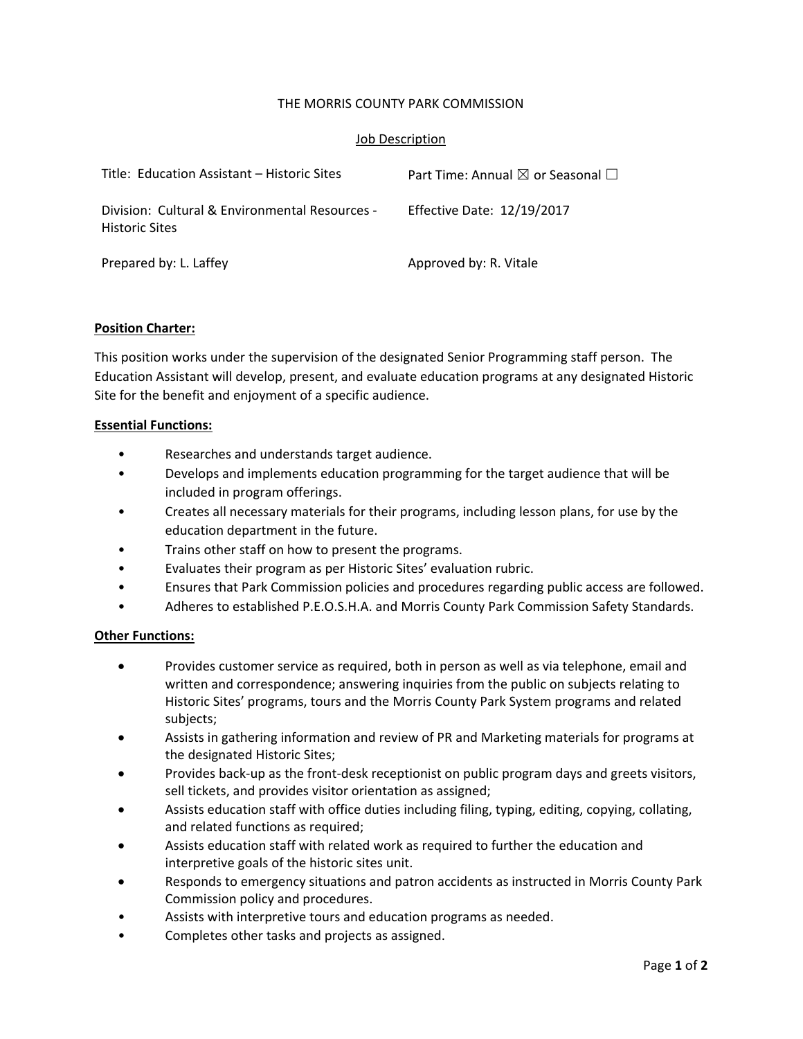## THE MORRIS COUNTY PARK COMMISSION

## Job Description

| Title: Education Assistant – Historic Sites                             | Part Time: Annual $\boxtimes$ or Seasonal $\Box$ |
|-------------------------------------------------------------------------|--------------------------------------------------|
| Division: Cultural & Environmental Resources -<br><b>Historic Sites</b> | Effective Date: 12/19/2017                       |
| Prepared by: L. Laffey                                                  | Approved by: R. Vitale                           |

## **Position Charter:**

This position works under the supervision of the designated Senior Programming staff person. The Education Assistant will develop, present, and evaluate education programs at any designated Historic Site for the benefit and enjoyment of a specific audience.

#### **Essential Functions:**

- Researches and understands target audience.
- Develops and implements education programming for the target audience that will be included in program offerings.
- Creates all necessary materials for their programs, including lesson plans, for use by the education department in the future.
- Trains other staff on how to present the programs.
- Evaluates their program as per Historic Sites' evaluation rubric.
- Ensures that Park Commission policies and procedures regarding public access are followed.
- Adheres to established P.E.O.S.H.A. and Morris County Park Commission Safety Standards.

## **Other Functions:**

- Provides customer service as required, both in person as well as via telephone, email and written and correspondence; answering inquiries from the public on subjects relating to Historic Sites' programs, tours and the Morris County Park System programs and related subjects;
- Assists in gathering information and review of PR and Marketing materials for programs at the designated Historic Sites;
- Provides back‐up as the front‐desk receptionist on public program days and greets visitors, sell tickets, and provides visitor orientation as assigned;
- Assists education staff with office duties including filing, typing, editing, copying, collating, and related functions as required;
- Assists education staff with related work as required to further the education and interpretive goals of the historic sites unit.
- Responds to emergency situations and patron accidents as instructed in Morris County Park Commission policy and procedures.
- Assists with interpretive tours and education programs as needed.
- Completes other tasks and projects as assigned.